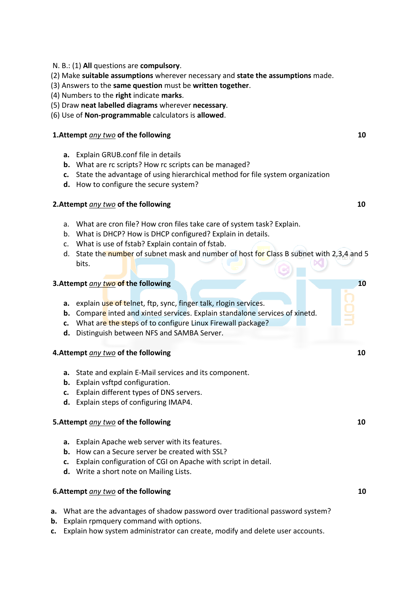- N. B.: (1) **All** questions are **compulsory**.
- (2) Make **suitable assumptions** wherever necessary and **state the assumptions** made.
- (3) Answers to the **same question** must be **written together**.
- (4) Numbers to the **right** indicate **marks**.
- (5) Draw **neat labelled diagrams** wherever **necessary**.
- (6) Use of **Non-programmable** calculators is **allowed**.

# **1.Attempt** *any two* of the following 10

- **a.** Explain GRUB.conf file in details
- **b.** What are rc scripts? How rc scripts can be managed?
- **c.** State the advantage of using hierarchical method for file system organization
- **d.** How to configure the secure system?

# **2.Attempt** *any two* of the following 10

- a. What are cron file? How cron files take care of system task? Explain.
- b. What is DHCP? How is DHCP configured? Explain in details.
- c. What is use of fstab? Explain contain of fstab.
- d. State the number of subnet mask and number of host for Class B subnet with 2,3,4 and 5 bits.

### **3.Attempt** *any two* **of the following 10 and 10 and 10 and 10 and 10 and 10 and 10 and 10 and 10 and 10**

- **a.** explain use of telnet, ftp, sync, finger talk, rlogin services.
- **b.** Compare inted and xinted services. Explain standalone services of xinetd.
- **c.** What are the steps of to configure Linux Firewall package?
- **d.** Distinguish between NFS and SAMBA Server.

## **4.Attempt** *any two* of the following 10

- **a.** State and explain E-Mail services and its component.
- **b.** Explain vsftpd configuration.
- **c.** Explain different types of DNS servers.
- **d.** Explain steps of configuring IMAP4.

# **5.Attempt** *any two* of the following 10

- **a.** Explain Apache web server with its features.
- **b.** How can a Secure server be created with SSL?
- **c.** Explain configuration of CGI on Apache with script in detail.
- **d.** Write a short note on Mailing Lists.

# **6.Attempt** *any two* **of the following 10 10**

- **a.** What are the advantages of shadow password over traditional password system?
- **b.** Explain rpmquery command with options.
- **c.** Explain how system administrator can create, modify and delete user accounts.